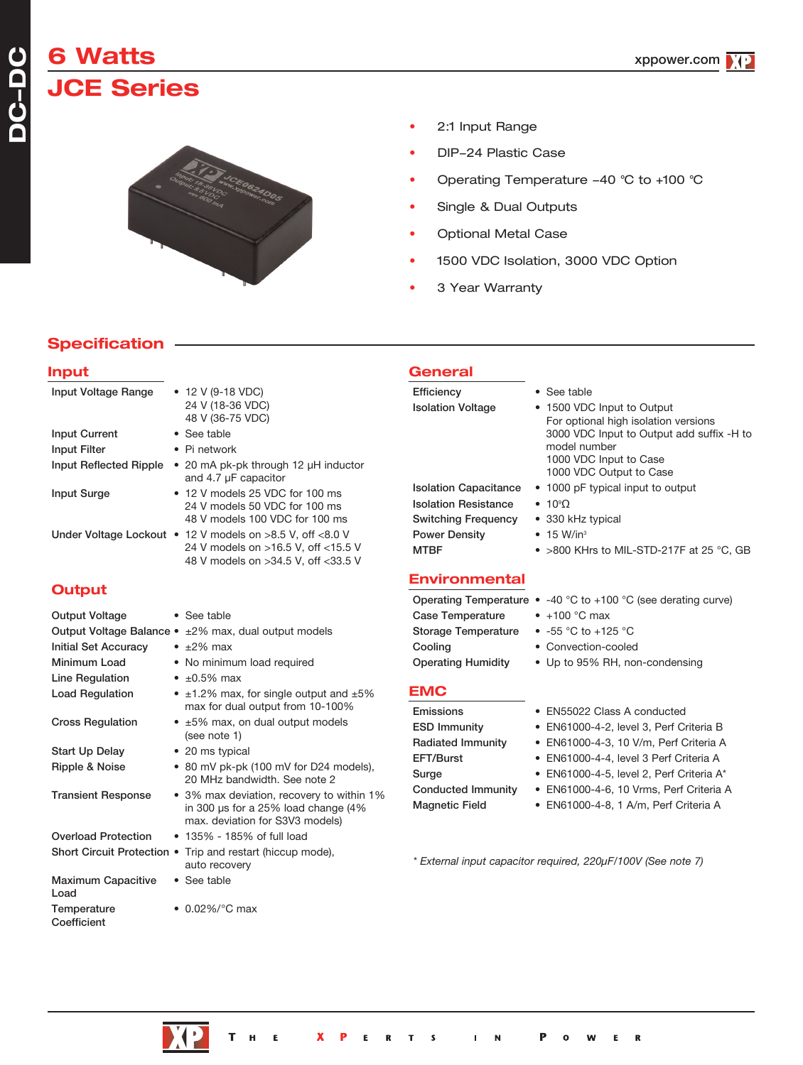# **6 Watts JCE Series**

**DC-DC**



- 2:1 Input Range
- DIP-24 Plastic Case
- Operating Temperature 40 °C to +100 °C
- Single & Dual Outputs
- Optional Metal Case
- 1500 VDC Isolation, 3000 VDC Option
- 3 Year Warranty

## **Specification**

### **Input** Input Voltage Range • 12 V (9-18 VDC) 24 V (18-36 VDC) 48 V (36-75 VDC) Input Current • See table Input Filter • Pi network Input Reflected Ripple • 20 mA pk-pk through 12 µH inductor and 4.7 µF capacitor Input Surge • 12 V models 25 VDC for 100 ms 24 V models 50 VDC for 100 ms 48 V models 100 VDC for 100 ms Under Voltage Lockout • 12 V models on >8.5 V, off <8.0 V 24 V models on >16.5 V, off <15.5 V 48 V models on >34.5 V, off <33.5 V **Output** Output Voltage • See table Output Voltage Balance • ±2% max, dual output models Initial Set Accuracy • ±2% max Minimum Load • No minimum load required Line Regulation  $\cdot$  ±0.5% max Load Regulation •  $\pm 1.2\%$  max, for single output and  $\pm 5\%$ max for dual output from 10-100% Cross Regulation  $\cdot$  ±5% max, on dual output models (see note 1) Start Up Delay • 20 ms typical Ripple & Noise • 80 mV pk-pk (100 mV for D24 models), 20 MHz bandwidth. See note 2 Transient Response • 3% max deviation, recovery to within 1% in 300 µs for a 25% load change (4% max. deviation for S3V3 models) **General** Efficiency • See table Isolation Voltage • 1500 VDC Input to Output For optional high isolation versions 3000 VDC Input to Output add suffix -H to model number 1000 VDC Input to Case 1000 VDC Output to Case Isolation Capacitance • 1000 pF typical input to output **Isolation Resistance**  $• 10°$ Switching Frequency • 330 kHz typical Power Density • 15 W/in<sup>3</sup> MTBF • >800 KHrs to MIL-STD-217F at 25 °C, GB **Environmental** Operating Temperature • -40 °C to +100 °C (see derating curve) Case Temperature • +100 °C max Storage Temperature • -55 °C to +125 °C Cooling • Convection-cooled Operating Humidity • Up to 95% RH, non-condensing **EMC** Emissions • EN55022 Class A conducted ESD Immunity • EN61000-4-2, level 3, Perf Criteria B Radiated Immunity • EN61000-4-3, 10 V/m, Perf Criteria A EFT/Burst • EN61000-4-4, level 3 Perf Criteria A Surge • EN61000-4-5, level 2, Perf Criteria A\* Conducted Immunity • EN61000-4-6, 10 Vrms, Perf Criteria A Magnetic Field • EN61000-4-8, 1 A/m, Perf Criteria A

*\* External input capacitor required, 220µF/100V (See note 7)*

Overload Protection • 135% - 185% of full load Short Circuit Protection . Trip and restart (hiccup mode),

Maximum Capacitive • See table

Temperature • 0.02%/°C max

Load

Coefficient

auto recovery